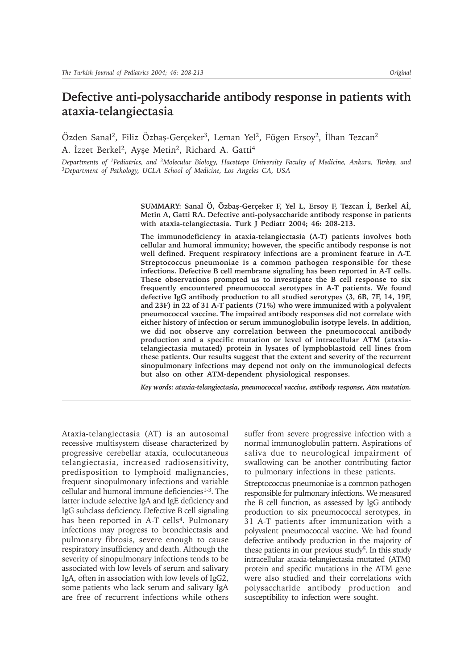# **Defective anti-polysaccharide antibody response in patients with ataxia-telangiectasia**

Özden Sanal<sup>2</sup>, Filiz Özbaş-Gerçeker<sup>3</sup>, Leman Yel<sup>2</sup>, Fügen Ersoy<sup>2</sup>, İlhan Tezcan<sup>2</sup> A. Ízzet Berkel<sup>2</sup>, Ayşe Metin<sup>2</sup>, Richard A. Gatti<sup>4</sup>

*Departments of 1Pediatrics, and 2Molecular Biology, Hacettepe University Faculty of Medicine, Ankara, Turkey, and 3Department of Pathology, UCLA School of Medicine, Los Angeles CA, USA*

> SUMMARY: Sanal Ö, Özbaş-Gerçeker F, Yel L, Ersoy F, Tezcan İ, Berkel Aİ, **Metin A, Gatti RA. Defective anti-polysaccharide antibody response in patients with ataxia-telangiectasia. Turk J Pediatr 2004; 46: 208-213.**

> **The immunodeficiency in ataxia-telangiectasia (A-T) patients involves both cellular and humoral immunity; however, the specific antibody response is not well defined. Frequent respiratory infections are a prominent feature in A-T. Streptococcus pneumoniae is a common pathogen responsible for these infections. Defective B cell membrane signaling has been reported in A-T cells. These observations prompted us to investigate the B cell response to six frequently encountered pneumococcal serotypes in A-T patients. We found defective IgG antibody production to all studied serotypes (3, 6B, 7F, 14, 19F, and 23F) in 22 of 31 A-T patients (71%) who were immunized with a polyvalent pneumococcal vaccine. The impaired antibody responses did not correlate with either history of infection or serum immunoglobulin isotype levels. In addition, we did not observe any correlation between the pneumococcal antibody production and a specific mutation or level of intracellular ATM (ataxiatelangiectasia mutated) protein in lysates of lymphoblastoid cell lines from these patients. Our results suggest that the extent and severity of the recurrent sinopulmonary infections may depend not only on the immunological defects but also on other ATM-dependent physiological responses.**

> *Key words: ataxia-telangiectasia, pneumococcal vaccine, antibody response, Atm mutation.*

Ataxia-telangiectasia (AT) is an autosomal recessive multisystem disease characterized by progressive cerebellar ataxia, oculocutaneous telangiectasia, increased radiosensitivity, predisposition to lymphoid malignancies, frequent sinopulmonary infections and variable cellular and humoral immune deficiencies<sup>1-3</sup>. The latter include selective IgA and IgE deficiency and IgG subclass deficiency. Defective B cell signaling has been reported in A-T cells<sup>4</sup>. Pulmonary infections may progress to bronchiectasis and pulmonary fibrosis, severe enough to cause respiratory insufficiency and death. Although the severity of sinopulmonary infections tends to be associated with low levels of serum and salivary IgA, often in association with low levels of IgG2, some patients who lack serum and salivary IgA are free of recurrent infections while others

suffer from severe progressive infection with a normal immunoglobulin pattern. Aspirations of saliva due to neurological impairment of swallowing can be another contributing factor to pulmonary infections in these patients.

Streptococcus pneumoniae is a common pathogen responsible for pulmonary infections. We measured the B cell function, as assessed by IgG antibody production to six pneumococcal serotypes, in 31 A-T patients after immunization with a polyvalent pneumococcal vaccine. We had found defective antibody production in the majority of these patients in our previous study<sup>5</sup>. In this study intracellular ataxia-telangiectasia mutated (ATM) protein and specific mutations in the ATM gene were also studied and their correlations with polysaccharide antibody production and susceptibility to infection were sought.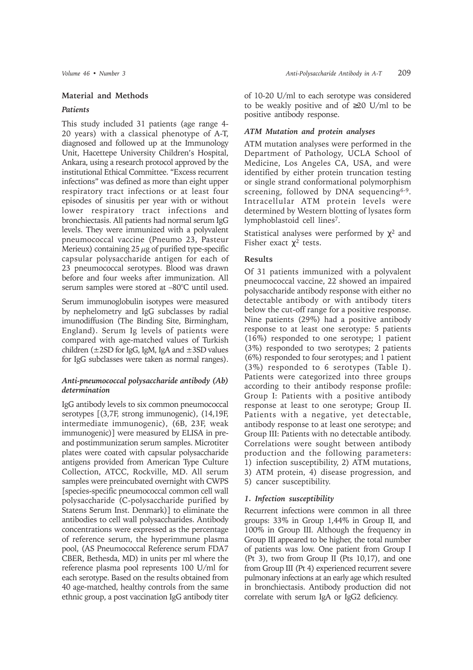#### **Material and Methods**

#### *Patients*

This study included 31 patients (age range 4- 20 years) with a classical phenotype of A-T, diagnosed and followed up at the Immunology Unit, Hacettepe University Children's Hospital, Ankara, using a research protocol approved by the institutional Ethical Committee. "Excess recurrent infections" was defined as more than eight upper respiratory tract infections or at least four episodes of sinusitis per year with or without lower respiratory tract infections and bronchiectasis. All patients had normal serum IgG levels. They were immunized with a polyvalent pneumococcal vaccine (Pneumo 23, Pasteur Merieux) containing  $25 \mu$ g of purified type-specific capsular polysaccharide antigen for each of 23 pneumococcal serotypes. Blood was drawn before and four weeks after immunization. All serum samples were stored at –80°C until used.

Serum immunoglobulin isotypes were measured by nephelometry and IgG subclasses by radial imunodiffusion (The Binding Site, Birmingham, England). Serum Ig levels of patients were compared with age-matched values of Turkish children  $(\pm 2SD$  for IgG, IgM, IgA and  $\pm 3SD$  values for IgG subclasses were taken as normal ranges).

# *Anti-pneumococcal polysaccharide antibody (Ab) determination*

IgG antibody levels to six common pneumococcal serotypes [(3,7F, strong immunogenic), (14,19F, intermediate immunogenic), (6B, 23F, weak immunogenic)] were measured by ELISA in preand postimmunization serum samples. Microtiter plates were coated with capsular polysaccharide antigens provided from American Type Culture Collection, ATCC, Rockville, MD. All serum samples were preincubated overnight with CWPS [species-specific pneumococcal common cell wall polysaccharide (C-polysaccharide purified by Statens Serum Inst. Denmark)] to eliminate the antibodies to cell wall polysaccharides. Antibody concentrations were expressed as the percentage of reference serum, the hyperimmune plasma pool, (AS Pneumococcal Reference serum FDA7 CBER, Bethesda, MD) in units per ml where the reference plasma pool represents 100 U/ml for each serotype. Based on the results obtained from 40 age-matched, healthy controls from the same ethnic group, a post vaccination IgG antibody titer

of 10-20 U/ml to each serotype was considered to be weakly positive and of ≥20 U/ml to be positive antibody response.

#### *ATM Mutation and protein analyses*

ATM mutation analyses were performed in the Department of Pathology, UCLA School of Medicine, Los Angeles CA, USA, and were identified by either protein truncation testing or single strand conformational polymorphism screening, followed by DNA sequencing<sup>6-9</sup>. Intracellular ATM protein levels were determined by Western blotting of lysates form lymphoblastoid cell lines7.

Statistical analyses were performed by  $\chi^2$  and Fisher exact  $\chi^2$  tests.

### **Results**

Of 31 patients immunized with a polyvalent pneumococcal vaccine, 22 showed an impaired polysaccharide antibody response with either no detectable antibody or with antibody titers below the cut-off range for a positive response. Nine patients (29%) had a positive antibody response to at least one serotype: 5 patients (16%) responded to one serotype; 1 patient (3%) responded to two serotypes; 2 patients (6%) responded to four serotypes; and 1 patient (3%) responded to 6 serotypes (Table I). Patients were categorized into three groups according to their antibody response profile: Group I: Patients with a positive antibody response at least to one serotype; Group II. Patients with a negative, yet detectable, antibody response to at least one serotype; and Group III: Patients with no detectable antibody. Correlations were sought between antibody production and the following parameters: 1) infection susceptibility, 2) ATM mutations, 3) ATM protein, 4) disease progression, and 5) cancer susceptibility.

#### *1. Infection susceptibility*

Recurrent infections were common in all three groups: 33% in Group 1,44% in Group II, and 100% in Group III. Although the frequency in Group III appeared to be higher, the total number of patients was low. One patient from Group I (Pt 3), two from Group II (Pts 10,17), and one from Group III (Pt 4) experienced recurrent severe pulmonary infections at an early age which resulted in bronchiectasis. Antibody production did not correlate with serum IgA or IgG2 deficiency.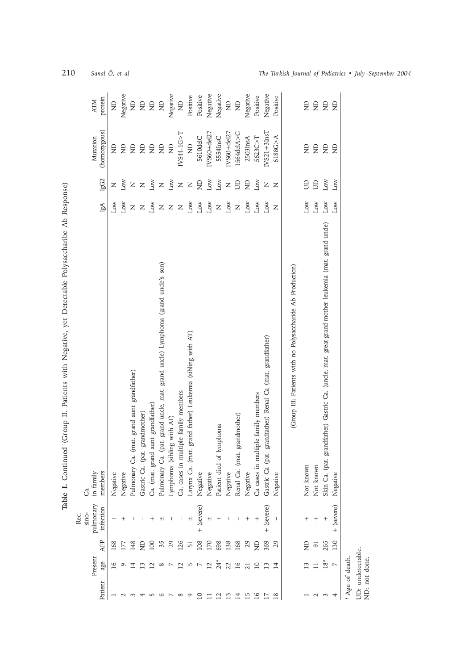| )<br>}<br>}<br>١<br>j                    |
|------------------------------------------|
| į<br>$\sqrt{2}$<br>ı                     |
| l                                        |
| Í                                        |
| $\sqrt{2}$<br>I                          |
| i<br>i<br>$\frac{1}{2}$<br>vat lata<br>I |
| ן<br>ג                                   |
| ļ<br>j                                   |
|                                          |
| l<br>$\frac{1}{2}$                       |
| i<br>Š<br>$\sqrt{2}$                     |
|                                          |
| ì<br>I<br>I                              |
| i                                        |
| ֚֓                                       |
| Table I                                  |

|                                    |                |                  | Rec.                   |                                                                                                   |                   |                 |                          |                       |
|------------------------------------|----------------|------------------|------------------------|---------------------------------------------------------------------------------------------------|-------------------|-----------------|--------------------------|-----------------------|
|                                    |                |                  | sino-                  | ්ය                                                                                                |                   |                 |                          |                       |
| Patient                            | Present<br>age | AFP              | pulmonary<br>infection | members<br>in family                                                                              | IgA               | $\lg \text{G2}$ | (homozygous)<br>Mutation | protein<br><b>ATM</b> |
|                                    |                | 168              | $^+$                   | Negative                                                                                          | ΝΟJ               | Z               | $\Xi$                    | $\infty$              |
|                                    |                | 177              |                        | Negative                                                                                          | Low               | ΜΟJ             | $\Xi$                    | Negative              |
|                                    |                | 148              |                        | Pulmonary Ca. (mat. grand aunt grandfather)                                                       | $\mathsf{z}$      | $\overline{z}$  | $\Xi$                    | $\infty$              |
|                                    |                | £                |                        | Gastric Ca. (pat. grandmother)                                                                    | $\, \geq$         | $\mathsf{Z}$    | $\Xi$                    | $\infty$              |
|                                    |                | $\overline{100}$ |                        | Ca. (mat. grand aunt grandfather)                                                                 | Low               | χοη             | $\Xi$                    | $\infty$              |
|                                    |                | 35               | $^{+}$                 | Pulmonary Ca. (pat. grand unde, mat. grand unde) Lymphoma (grand unde's son)                      |                   | $\mathsf{z}$    | $\Xi$                    | $\infty$              |
|                                    |                | 29               |                        | Lymphoma (sibling with AT)                                                                        | $\rm{z}$ $\rm{z}$ | $_{\text{Low}}$ | $\Xi$                    | Negative              |
| $\infty$                           |                | 126              |                        | Ca. cases in multiple family members                                                              | $\mathsf{Z}$      | $\mathsf{Z}$    | $INSA4-1G > T$           | $\trianglerighteq$    |
| Q                                  | 5              | 51               | $+1$                   | Larynx Ca. (mat. grand father) Leukemia (sibling with AT)                                         | $_{\text{Low}}$   | $\mathsf{z}$    | $\oplus$                 | Positive              |
| $\overline{10}$                    |                | 108              | + (severe)             | Negative                                                                                          | Low               | $\Xi$           | 5610delC                 | Positive              |
|                                    | 12             | 170              | H,                     | Negative                                                                                          | Low               | $_{\rm Low}$    | $IVS60 + del27$          | Negative              |
| 12                                 | $24*$          | 698              |                        | Patient died of lymphoma                                                                          | $\mathsf{z}$      | ΓoΜ             | 5554InsC                 | Negative              |
| 13                                 | 22             | 138              |                        | Negative                                                                                          | ΔW                | $\overline{z}$  | $IVS60 + de127$          | $\infty$              |
| $\overline{14}$                    | 16             | 168              |                        | Renal Ca. (mat. grandmother)                                                                      | $\mathsf{z}$      | $\Xi$           | 1564delA>G               | $\infty$              |
| 15                                 | 21             | 29               | $^+$                   | Negative                                                                                          | Δw                | £               | 2503InsA                 | Negative              |
| $\overline{16}$                    | 10             | $\Xi$            |                        | Ca cases in multiple family members                                                               | Low               | Low             | 5623C > T                | Positive              |
| 17                                 |                | 369              | + (severe)             | Gastric Ca (pat. grandfather) Renal Ca (mat. grandfather)                                         | Low               | Z               | $IVS21+3InsT$            | Negative              |
| 18                                 | 14             | 29               |                        | Negative                                                                                          | Z                 | Z               | 6188G > A                | Positive              |
|                                    |                |                  |                        | (Group III: Patients with no Polysaccharide Ab Production)                                        |                   |                 |                          |                       |
|                                    |                | £                | $^{+}$                 | Not known                                                                                         | Low               | $\mathbf{\Xi}$  | $\Xi$                    | $\mathsf{R}$          |
|                                    |                | $\overline{9}$   | $^{+}$                 | Not known                                                                                         | Low               | B               | $\Xi$                    | $\Xi$                 |
| ξ                                  | $18*$          | 265              | $^{+}$                 | Skin Ca. (pat. grandfather) Gastric Ca. (unde, mat. great-grand-mother leukemia (mat. grand unde) | $_{\rm Low}$      | Low             | $\Xi$                    | $\Theta$              |
| 4                                  | L              | 130              | + (severe)             | Negative                                                                                          | <b>NOT</b>        | Low             | $\Xi$                    | $\Theta$              |
| * Age of death.                    |                |                  |                        |                                                                                                   |                   |                 |                          |                       |
| UD: undetectable.<br>ND: not done. |                |                  |                        |                                                                                                   |                   |                 |                          |                       |

210 *Sanal Ö, et al The Turkish Journal of Pediatrics • July -September 2004*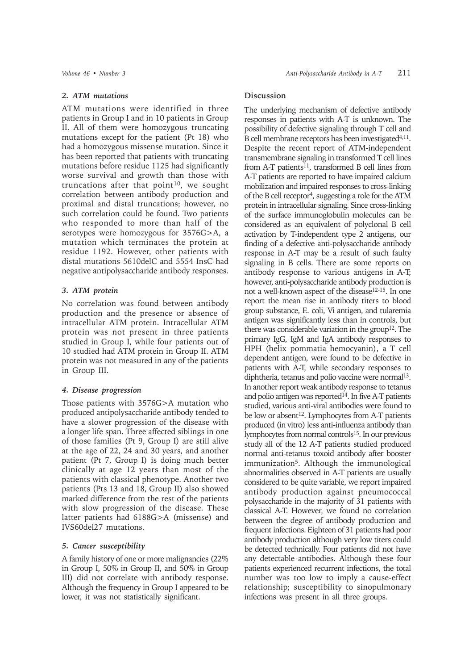## *2. ATM mutations*

ATM mutations were identified in three patients in Group I and in 10 patients in Group II. All of them were homozygous truncating mutations except for the patient (Pt 18) who had a homozygous missense mutation. Since it has been reported that patients with truncating mutations before residue 1125 had significantly worse survival and growth than those with truncations after that point $10$ , we sought correlation between antibody production and proximal and distal truncations; however, no such correlation could be found. Two patients who responded to more than half of the serotypes were homozygous for 3576G>A, a mutation which terminates the protein at residue 1192. However, other patients with distal mutations 5610delC and 5554 InsC had negative antipolysaccharide antibody responses.

# *3. ATM protein*

No correlation was found between antibody production and the presence or absence of intracellular ATM protein. Intracellular ATM protein was not present in three patients studied in Group I, while four patients out of 10 studied had ATM protein in Group II. ATM protein was not measured in any of the patients in Group III.

# *4. Disease progression*

Those patients with 3576G>A mutation who produced antipolysaccharide antibody tended to have a slower progression of the disease with a longer life span. Three affected siblings in one of those families (Pt 9, Group I) are still alive at the age of 22, 24 and 30 years, and another patient (Pt 7, Group I) is doing much better clinically at age 12 years than most of the patients with classical phenotype. Another two patients (Pts 13 and 18, Group II) also showed marked difference from the rest of the patients with slow progression of the disease. These latter patients had 6188G>A (missense) and IVS60del27 mutations.

### *5. Cancer susceptibility*

A family history of one or more malignancies (22% in Group I, 50% in Group II, and 50% in Group III) did not correlate with antibody response. Although the frequency in Group I appeared to be lower, it was not statistically significant.

# **Discussion**

The underlying mechanism of defective antibody responses in patients with A-T is unknown. The possibility of defective signaling through T cell and B cell membrane receptors has been investigated<sup>4,11</sup>. Despite the recent report of ATM-independent transmembrane signaling in transformed T cell lines from A-T patients<sup>11</sup>, transformed B cell lines from A-T patients are reported to have impaired calcium mobilization and impaired responses to cross-linking of the B cell receptor<sup>4</sup>, suggesting a role for the ATM protein in intracellular signaling. Since cross-linking of the surface immunoglobulin molecules can be considered as an equivalent of polyclonal B cell activation by T-independent type 2 antigens, our finding of a defective anti-polysaccharide antibody response in A-T may be a result of such faulty signaling in B cells. There are some reports on antibody response to various antigens in A-T; however, anti-polysaccharide antibody production is not a well-known aspect of the disease12-15. In one report the mean rise in antibody titers to blood group substance, E. coli, Vi antigen, and tularemia antigen was significantly less than in controls, but there was considerable variation in the group<sup>12</sup>. The primary IgG, IgM and IgA antibody responses to HPH (helix pommatia hemocyanin), a T cell dependent antigen, were found to be defective in patients with A-T, while secondary responses to diphtheria, tetanus and polio vaccine were normal<sup>13</sup>. In another report weak antibody response to tetanus and polio antigen was reported<sup>14</sup>. In five A-T patients studied, various anti-viral antibodies were found to be low or absent<sup>12</sup>. Lymphocytes from A-T patients produced (in vitro) less anti-influenza antibody than lymphocytes from normal controls15. In our previous study all of the 12 A-T patients studied produced normal anti-tetanus toxoid antibody after booster immunization<sup>5</sup>. Although the immunological abnormalities observed in A-T patients are usually considered to be quite variable, we report impaired antibody production against pneumococcal polysaccharide in the majority of 31 patients with classical A-T. However, we found no correlation between the degree of antibody production and frequent infections. Eighteen of 31 patients had poor antibody production although very low titers could be detected technically. Four patients did not have any detectable antibodies. Although these four patients experienced recurrent infections, the total number was too low to imply a cause-effect relationship; susceptibility to sinopulmonary infections was present in all three groups.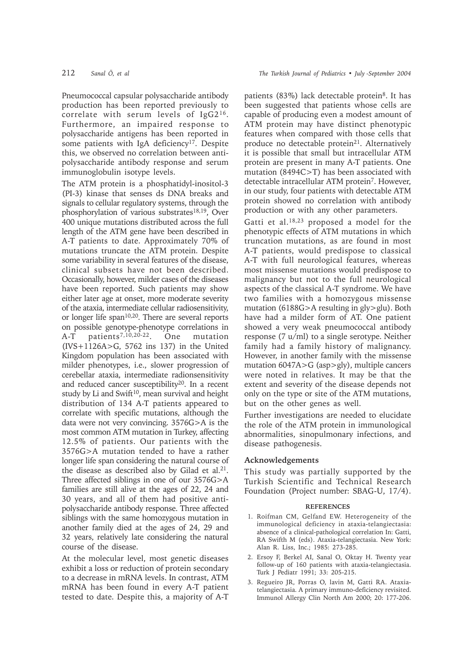Pneumococcal capsular polysaccharide antibody production has been reported previously to correlate with serum levels of IgG216. Furthermore, an impaired response to polysaccharide antigens has been reported in some patients with IgA deficiency<sup>17</sup>. Despite this, we observed no correlation between antipolysaccharide antibody response and serum immunoglobulin isotype levels.

The ATM protein is a phosphatidyl-inositol-3 (PI-3) kinase that senses ds DNA breaks and signals to cellular regulatory systems, through the phosphorylation of various substrates<sup>18,19</sup>, Over 400 unique mutations distributed across the full length of the ATM gene have been described in A-T patients to date. Approximately 70% of mutations truncate the ATM protein. Despite some variability in several features of the disease, clinical subsets have not been described. Occasionally, however, milder cases of the diseases have been reported. Such patients may show either later age at onset, more moderate severity of the ataxia, intermediate cellular radiosensitivity, or longer life  $span<sup>10,20</sup>$ . There are several reports on possible genotype-phenotype correlations in A-T patients<sup>7,10,20-22</sup>. One mutation (IVS+1126A>G, 5762 ins 137) in the United Kingdom population has been associated with milder phenotypes, i.e., slower progression of cerebellar ataxia, intermediate radionsensitivity and reduced cancer susceptibility<sup>20</sup>. In a recent study by Li and Swift $10$ , mean survival and height distribution of 134 A-T patients appeared to correlate with specific mutations, although the data were not very convincing. 3576G>A is the most common ATM mutation in Turkey, affecting 12.5% of patients. Our patients with the 3576G>A mutation tended to have a rather longer life span considering the natural course of the disease as described also by Gilad et al. $21$ . Three affected siblings in one of our 3576G>A families are still alive at the ages of 22, 24 and 30 years, and all of them had positive antipolysaccharide antibody response. Three affected siblings with the same homozygous mutation in another family died at the ages of 24, 29 and 32 years, relatively late considering the natural course of the disease.

At the molecular level, most genetic diseases exhibit a loss or reduction of protein secondary to a decrease in mRNA levels. In contrast, ATM mRNA has been found in every A-T patient tested to date. Despite this, a majority of A-T patients  $(83\%)$  lack detectable protein<sup>8</sup>. It has been suggested that patients whose cells are capable of producing even a modest amount of ATM protein may have distinct phenotypic features when compared with those cells that produce no detectable protein<sup>21</sup>. Alternatively it is possible that small but intracellular ATM protein are present in many A-T patients. One mutation (8494C>T) has been associated with detectable intracellular ATM protein<sup>7</sup>. However, in our study, four patients with detectable ATM protein showed no correlation with antibody production or with any other parameters.

Gatti et al.18,23 proposed a model for the phenotypic effects of ATM mutations in which truncation mutations, as are found in most A-T patients, would predispose to classical A-T with full neurological features, whereas most missense mutations would predispose to malignancy but not to the full neurological aspects of the classical A-T syndrome. We have two families with a homozygous missense mutation (6188G>A resulting in gly>glu). Both have had a milder form of AT. One patient showed a very weak pneumococcal antibody response (7 u/ml) to a single serotype. Neither family had a family history of malignancy. However, in another family with the missense mutation 6047A>G (asp>gly), multiple cancers were noted in relatives. It may be that the extent and severity of the disease depends not only on the type or site of the ATM mutations, but on the other genes as well.

Further investigations are needed to elucidate the role of the ATM protein in immunological abnormalities, sinopulmonary infections, and disease pathogenesis.

#### **Acknowledgements**

This study was partially supported by the Turkish Scientific and Technical Research Foundation (Project number: SBAG-U, 17/4).

#### **REFERENCES**

- 1. Roifman CM, Gelfand EW. Heterogeneity of the immunological deficiency in ataxia-telangiectasia: absence of a clinical-pathological correlation In: Gatti, RA Swifth M (eds). Ataxia-telangiectasia. New York: Alan R. Liss, Inc.; 1985: 273-285.
- 2. Ersoy F, Berkel AI, Sanal O, Oktay H. Twenty year follow-up of 160 patients with ataxia-telangiectasia. Turk J Pediatr 1991; 33: 205-215.
- 3. Regueiro JR, Porras O, lavin M, Gatti RA. Ataxiatelangiectasia. A primary immuno-deficiency revisited. Immunol Allergy Clin North Am 2000; 20: 177-206.